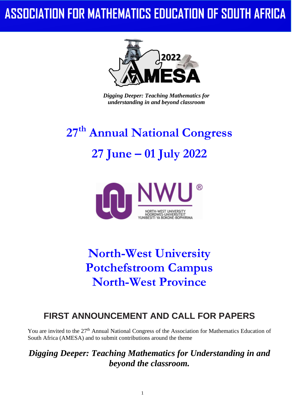## **ASSOCIATION FOR MATHEMATICS EDUCATION OF SOUTH AFRICA**



*Digging Deeper: Teaching Mathematics for understanding in and beyond classroom*

# **27th Annual National Congress 27 June – 01 July 2022**



## **North-West University Potchefstroom Campus North-West Province**

## **FIRST ANNOUNCEMENT AND CALL FOR PAPERS**

You are invited to the 27<sup>th</sup> Annual National Congress of the Association for Mathematics Education of South Africa (AMESA) and to submit contributions around the theme

*Digging Deeper: Teaching Mathematics for Understanding in and beyond the classroom.*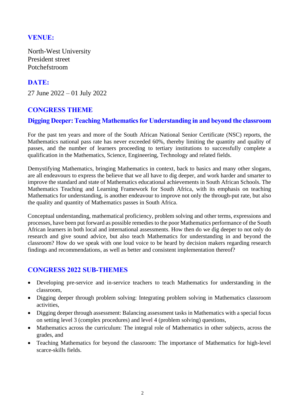## **VENUE:**

North-West University President street Potchefstroom

## **DATE:**

27 June 2022 – 01 July 2022

## **CONGRESS THEME**

## **Digging Deeper: Teaching Mathematics for Understanding in and beyond the classroom**

For the past ten years and more of the South African National Senior Certificate (NSC) reports, the Mathematics national pass rate has never exceeded 60%, thereby limiting the quantity and quality of passes, and the number of learners proceeding to tertiary institutions to successfully complete a qualification in the Mathematics, Science, Engineering, Technology and related fields.

Demystifying Mathematics, bringing Mathematics in context, back to basics and many other slogans, are all endeavours to express the believe that we all have to dig deeper, and work harder and smarter to improve the standard and state of Mathematics educational achievements in South African Schools. The Mathematics Teaching and Learning Framework for South Africa, with its emphasis on teaching Mathematics for understanding, is another endeavour to improve not only the through-put rate, but also the quality and quantity of Mathematics passes in South Africa.

Conceptual understanding, mathematical proficiency, problem solving and other terms, expressions and processes, have been put forward as possible remedies to the poor Mathematics performance of the South African learners in both local and international assessments. How then do we dig deeper to not only do research and give sound advice, but also teach Mathematics for understanding in and beyond the classroom? How do we speak with one loud voice to be heard by decision makers regarding research findings and recommendations, as well as better and consistent implementation thereof?

## **CONGRESS 2022 SUB-THEMES**

- Developing pre-service and in-service teachers to teach Mathematics for understanding in the classroom,
- Digging deeper through problem solving: Integrating problem solving in Mathematics classroom activities,
- Digging deeper through assessment: Balancing assessment tasks in Mathematics with a special focus on setting level 3 (complex procedures) and level 4 (problem solving) questions,
- Mathematics across the curriculum: The integral role of Mathematics in other subjects, across the grades, and
- Teaching Mathematics for beyond the classroom: The importance of Mathematics for high-level scarce-skills fields.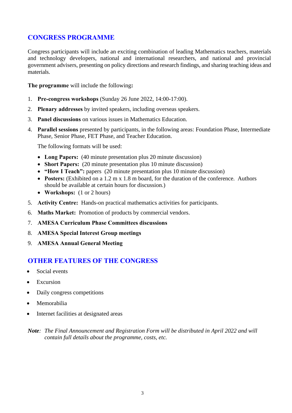## **CONGRESS PROGRAMME**

Congress participants will include an exciting combination of leading Mathematics teachers, materials and technology developers, national and international researchers, and national and provincial government advisers, presenting on policy directions and research findings, and sharing teaching ideas and materials.

**The programme** will include the following**:**

- 1. **Pre-congress workshops** (Sunday 26 June 2022, 14:00-17:00).
- 2. **Plenary addresses** by invited speakers, including overseas speakers.
- 3. **Panel discussions** on various issues in Mathematics Education.
- 4. **Parallel sessions** presented by participants, in the following areas: Foundation Phase, Intermediate Phase, Senior Phase, FET Phase, and Teacher Education.

The following formats will be used:

- **Long Papers:** (40 minute presentation plus 20 minute discussion)
- **[Short Papers:](#page-8-0)** (20 minute presentation plus 10 minute discussion)
- **"How I Teach":** papers (20 minute presentation plus 10 minute discussion)
- **Posters:** (Exhibited on a 1.2 m x 1.8 m board, for the duration of the conference. Authors should be available at certain hours for discussion.)
- **Workshops:** (1 or 2 hours)
- 5. **Activity Centre:** Hands-on practical mathematics activities for participants.
- 6. **Maths Market:** Promotion of products by commercial vendors.
- 7. **AMESA Curriculum Phase Committees discussions**
- 8. **AMESA Special Interest Group meetings**
- 9. **AMESA Annual General Meeting**

## **OTHER FEATURES OF THE CONGRESS**

- Social events
- Excursion
- Daily congress competitions
- Memorabilia
- Internet facilities at designated areas

*Note: The Final Announcement and Registration Form will be distributed in April 2022 and will contain full details about the programme, costs, etc.*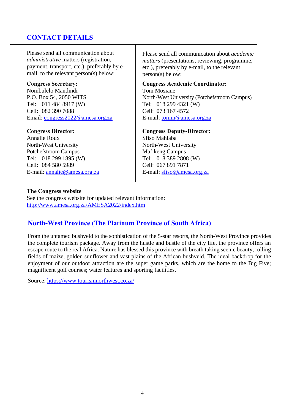## **CONTACT DETAILS**

Please send all communication about *administrative* matters (registration, payment, transport, etc.), preferably by email, to the relevant person(s) below:

#### **Congress Secretary:**

Nombulelo Mandindi P.O. Box 54, 2050 WITS Tel: 011 484 8917 (W) Cell: 082 390 7088 Email: [congress2022@amesa.org.za](mailto:congress2022@amesa.org.za)

#### **Congress Director:**

Annalie Roux North-West University Potchefstroom Campus Tel: 018 299 1895 (W) Cell: 084 580 5989 E-mail: [annalie@amesa.org.za](mailto:annalie@amesa.org.za) Please send all communication about *academic matters* (presentations, reviewing, programme, etc.), preferably by e-mail, to the relevant person(s) below:

#### **Congress Academic Coordinator:**

Tom Mosiane North-West University (Potchefstroom Campus) Tel: 018 299 4321 (W) Cell: 073 167 4572 E-mail: [tomm@amesa.org.za](mailto:tomm@amesa.org.za?subject=Congress)

#### **Congress Deputy-Director:**

Sfiso Mahlaba North-West University Mafikeng Campus Tel: 018 389 2808 (W) Cell: 067 891 7871 E-mail: [sfiso@amesa.org.za](mailto:sfiso@amesa.org.za)

#### **The Congress website**

See the congress website for updated relevant information: <http://www.amesa.org.za/AMESA2022/index.htm>

## **North-West Province (The Platinum Province of South Africa)**

From the untamed bushveld to the sophistication of the 5-star resorts, the North-West Province provides the complete tourism package. Away from the hustle and bustle of the city life, the province offers an escape route to the real Africa. Nature has blessed this province with breath taking scenic beauty, rolling fields of maize, golden sunflower and vast plains of the African bushveld. The ideal backdrop for the enjoyment of our outdoor attraction are the super game parks, which are the home to the Big Five; magnificent golf courses; water features and sporting facilities.

Source:<https://www.tourismnorthwest.co.za/>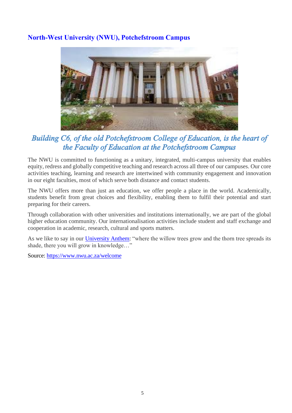## **North-West University (NWU), Potchefstroom Campus**



## Building C6, of the old Potchefstroom College of Education, is the heart of the Faculty of Education at the Potchefstroom Campus

The NWU is committed to functioning as a unitary, integrated, multi-campus university that enables equity, redress and globally competitive teaching and research across all three of our campuses. Our core activities teaching, learning and research are intertwined with community engagement and innovation in our eight faculties, most of which serve both distance and contact students.

The NWU offers more than just an education, we offer people a place in the world. Academically, students benefit from great choices and flexibility, enabling them to fulfil their potential and start preparing for their careers.

Through collaboration with other universities and institutions internationally, we are part of the global higher education community. Our internationalisation activities include student and staff exchange and cooperation in academic, research, cultural and sports matters.

As we like to say in our [University Anthem:](http://www.nwu.ac.za/anthem) "where the willow trees grow and the thorn tree spreads its shade, there you will grow in knowledge…"

Source:<https://www.nwu.ac.za/welcome>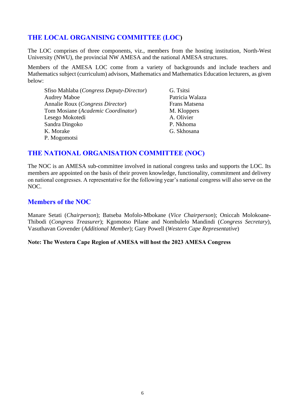## **THE LOCAL ORGANISING COMMITTEE (LOC)**

The LOC comprises of three components, viz., members from the hosting institution, North-West University (NWU), the provincial NW AMESA and the national AMESA structures.

Members of the AMESA LOC come from a variety of backgrounds and include teachers and Mathematics subject (curriculum) advisors, Mathematics and Mathematics Education lecturers, as given below:

| Sfiso Mahlaba (Congress Deputy-Director) | G. Tsitsi       |
|------------------------------------------|-----------------|
| <b>Audrey Maboe</b>                      | Patricia Walaza |
| Annalie Roux (Congress Director)         | Frans Matsena   |
| Tom Mosiane (Academic Coordinator)       | M. Kloppers     |
| Lesego Mokotedi                          | A. Olivier      |
| Sandra Dingoko                           | P. Nkhoma       |
| K. Morake                                | G. Skhosana     |
| P. Mogomotsi                             |                 |

## **THE NATIONAL ORGANISATION COMMITTEE (NOC)**

The NOC is an AMESA sub-committee involved in national congress tasks and supports the LOC. Its members are appointed on the basis of their proven knowledge, functionality, commitment and delivery on national congresses. A representative for the following year's national congress will also serve on the NOC.

## **Members of the NOC**

Manare Setati (*Chairperson*); Batseba Mofolo-Mbokane (*Vice Chairperson*); Oniccah Molokoane-Thibodi (*Congress Treasurer*); Kgomotso Pilane and Nombulelo Mandindi (*Congress Secretary*), Vasuthavan Govender (*Additional Member*); Gary Powell (*Western Cape Representative*)

#### **Note: The Western Cape Region of AMESA will host the 2023 AMESA Congress**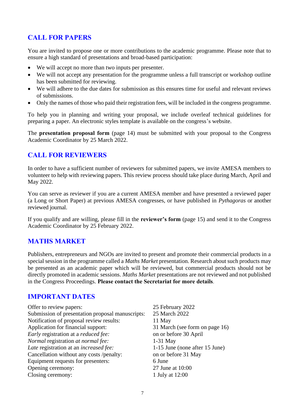## **CALL FOR PAPERS**

You are invited to propose one or more contributions to the academic programme. Please note that to ensure a high standard of presentations and broad-based participation:

- We will accept no more than two inputs per presenter.
- We will not accept any presentation for the programme unless a full transcript or workshop outline has been submitted for reviewing.
- We will adhere to the due dates for submission as this ensures time for useful and relevant reviews of submissions.
- Only the names of those who paid their registration fees, will be included in the congress programme.

To help you in planning and writing your proposal, we include overleaf technical guidelines for preparing a paper. An electronic styles template is available on the congress's website.

The **presentation proposal form** (page 14) must be submitted with your proposal to the Congress Academic Coordinator by 25 March 2022.

## **CALL FOR REVIEWERS**

In order to have a sufficient number of reviewers for submitted papers, we invite AMESA members to volunteer to help with reviewing papers. This review process should take place during March, April and May 2022.

You can serve as reviewer if you are a current AMESA member and have presented a reviewed paper (a Long or Short Paper) at previous AMESA congresses, or have published in *Pythagoras* or another reviewed journal.

If you qualify and are willing, please fill in the **reviewer's form** (page 15) and send it to the Congress Academic Coordinator by 25 February 2022.

## **MATHS MARKET**

Publishers, entrepreneurs and NGOs are invited to present and promote their commercial products in a special session in the programme called a *Maths Market* presentation. Research about such products may be presented as an academic paper which will be reviewed, but commercial products should not be directly promoted in academic sessions. *Maths Market* presentations are not reviewed and not published in the Congress Proceedings. **Please contact the Secretariat for more details**.

## **IMPORTANT DATES**

| Offer to review papers:                            | 25 February 2022               |
|----------------------------------------------------|--------------------------------|
| Submission of presentation proposal manuscripts:   | 25 March 2022                  |
| Notification of proposal review results:           | 11 May                         |
| Application for financial support:                 | 31 March (see form on page 16) |
| <i>Early</i> registration at a <i>reduced fee:</i> | on or before 30 April          |
| Normal registration at normal fee:                 | $1-31$ May                     |
| Late registration at an <i>increased fee</i> :     | 1-15 June (none after 15 June) |
| Cancellation without any costs /penalty:           | on or before 31 May            |
| Equipment requests for presenters:                 | 6 June                         |
| Opening ceremony:                                  | 27 June at 10:00               |
| Closing ceremony:                                  | 1 July at 12:00                |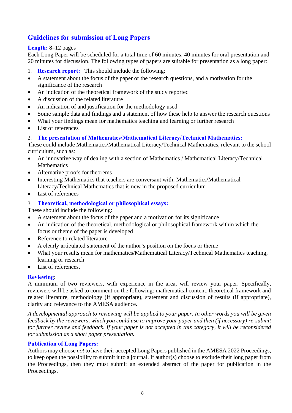## **Guidelines for submission of Long Papers**

#### **Length:** 8–12 pages

Each Long Paper will be scheduled for a total time of 60 minutes: 40 minutes for oral presentation and 20 minutes for discussion. The following types of papers are suitable for presentation as a long paper:

- 1. **Research report:** This should include the following:
- A statement about the focus of the paper or the research questions, and a motivation for the significance of the research
- An indication of the theoretical framework of the study reported
- A discussion of the related literature
- An indication of and justification for the methodology used
- Some sample data and findings and a statement of how these help to answer the research questions
- What your findings mean for mathematics teaching and learning or further research
- List of references

#### 2. **The presentation of Mathematics/Mathematical Literacy/Technical Mathematics:**

These could include Mathematics/Mathematical Literacy/Technical Mathematics, relevant to the school curriculum, such as:

- An innovative way of dealing with a section of Mathematics / Mathematical Literacy/Technical **Mathematics**
- Alternative proofs for theorems
- Interesting Mathematics that teachers are conversant with; Mathematics/Mathematical Literacy/Technical Mathematics that is new in the proposed curriculum
- List of references
- 3. **Theoretical, methodological or philosophical essays:**

These should include the following:

- A statement about the focus of the paper and a motivation for its significance
- An indication of the theoretical, methodological or philosophical framework within which the focus or theme of the paper is developed
- Reference to related literature
- A clearly articulated statement of the author's position on the focus or theme
- What your results mean for mathematics/Mathematical Literacy/Technical Mathematics teaching, learning or research
- List of references.

#### **Reviewing:**

A minimum of two reviewers, with experience in the area, will review your paper. Specifically, reviewers will be asked to comment on the following: mathematical content, theoretical framework and related literature, methodology (if appropriate), statement and discussion of results (if appropriate), clarity and relevance to the AMESA audience.

*A developmental approach to reviewing will be applied to your paper. In other words you will be given feedback by the reviewers, which you could use to improve your paper and then (if necessary) re-submit for further review and feedback. If your paper is not accepted in this category, it will be reconsidered for submission as a short paper presentation.* 

#### **Publication of Long Papers:**

Authors may choose *not* to have their accepted Long Papers published in the AMESA 2022 Proceedings, to keep open the possibility to submit it to a journal. If author(s) choose to exclude their long paper from the Proceedings, then they must submit an extended abstract of the paper for publication in the Proceedings.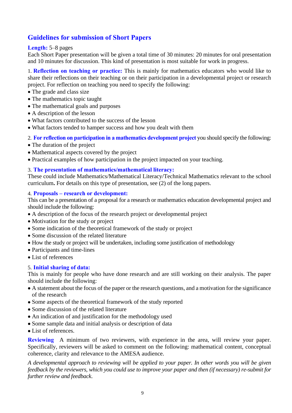## <span id="page-8-0"></span>**Guidelines for submission of Short Papers**

#### **Length:** 5–8 pages

Each Short Paper presentation will be given a total time of 30 minutes: 20 minutes for oral presentation and 10 minutes for discussion. This kind of presentation is most suitable for work in progress.

1. **Reflection on teaching or practice:** This is mainly for mathematics educators who would like to share their reflections on their teaching or on their participation in a developmental project or research project. For reflection on teaching you need to specify the following:

- The grade and class size
- The mathematics topic taught
- The mathematical goals and purposes
- A description of the lesson
- What factors contributed to the success of the lesson
- What factors tended to hamper success and how you dealt with them

2. **For reflection on participation in a mathematics development project** you should specify the following:

- The duration of the project
- Mathematical aspects covered by the project
- Practical examples of how participation in the project impacted on your teaching.

#### 3. **The presentation of mathematics/mathematical literacy:**

These could include Mathematics/Mathematical Literacy/Technical Mathematics relevant to the school curriculum**.** For details on this type of presentation, see (2) of the long papers.

#### 4. **Proposals – research or development:**

This can be a presentation of a proposal for a research or mathematics education developmental project and should include the following:

- A description of the focus of the research project or developmental project
- Motivation for the study or project
- Some indication of the theoretical framework of the study or project
- Some discussion of the related literature
- How the study or project will be undertaken, including some justification of methodology
- Participants and time-lines
- List of references

#### 5. **Initial sharing of data:**

This is mainly for people who have done research and are still working on their analysis. The paper should include the following:

- A statement about the focus of the paper or the research questions, and a motivation for the significance of the research
- Some aspects of the theoretical framework of the study reported
- Some discussion of the related literature
- An indication of and justification for the methodology used
- Some sample data and initial analysis or description of data
- List of references.

**Reviewing** A minimum of two reviewers, with experience in the area, will review your paper. Specifically, reviewers will be asked to comment on the following: mathematical content, conceptual coherence, clarity and relevance to the AMESA audience.

*A developmental approach to reviewing will be applied to your paper. In other words you will be given feedback by the reviewers, which you could use to improve your paper and then (if necessary) re-submit for further review and feedback*.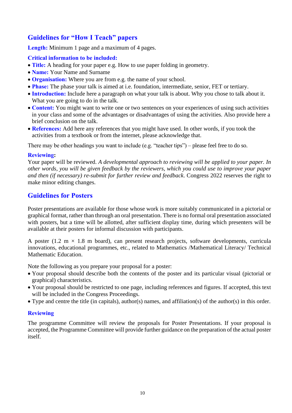## **Guidelines for "How I Teach" papers**

**Length:** Minimum 1 page and a maximum of 4 pages.

#### **Critical information to be included:**

- **Title:** A heading for your paper e.g. How to use paper folding in geometry.
- **Name:** Your Name and Surname
- **Organisation:** Where you are from e.g. the name of your school.
- **Phase:** The phase your talk is aimed at i.e. foundation, intermediate, senior, FET or tertiary.
- **Introduction:** Include here a paragraph on what your talk is about. Why you chose to talk about it. What you are going to do in the talk.
- **Content:** You might want to write one or two sentences on your experiences of using such activities in your class and some of the advantages or disadvantages of using the activities. Also provide here a brief conclusion on the talk.
- **References:** Add here any references that you might have used. In other words, if you took the activities from a textbook or from the internet, please acknowledge that.

There may be other headings you want to include (e.g. "teacher tips") – please feel free to do so.

#### **Reviewing:**

Your paper will be reviewed. *A developmental approach to reviewing will be applied to your paper. In other words, you will be given feedback by the reviewers, which you could use to improve your paper and then (if necessary) re-submit for further review and feedback*. Congress 2022 reserves the right to make minor editing changes.

#### **Guidelines for Posters**

Poster presentations are available for those whose work is more suitably communicated in a pictorial or graphical format, rather than through an oral presentation. There is no formal oral presentation associated with posters, but a time will be allotted, after sufficient display time, during which presenters will be available at their posters for informal discussion with participants.

A poster (1.2 m  $\times$  1.8 m board), can present research projects, software developments, curricula innovations, educational programmes, etc., related to Mathematics /Mathematical Literacy/ Technical Mathematic Education.

Note the following as you prepare your proposal for a poster:

- Your proposal should describe both the contents of the poster and its particular visual (pictorial or graphical) characteristics.
- Your proposal should be restricted to one page, including references and figures. If accepted, this text will be included in the Congress Proceedings.
- Type and centre the title (in capitals), author(s) names, and affiliation(s) of the author(s) in this order.

#### **Reviewing**

The programme Committee will review the proposals for Poster Presentations. If your proposal is accepted, the Programme Committee will provide further guidance on the preparation of the actual poster itself.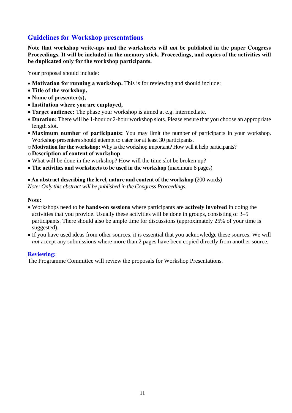## **Guidelines for Workshop presentations**

**Note that workshop write-ups and the worksheets will** *not* **be published in the paper Congress Proceedings. It will be included in the memory stick. Proceedings, and copies of the activities will be duplicated only for the workshop participants.** 

Your proposal should include:

- **Motivation for running a workshop.** This is for reviewing and should include:
- **Title of the workshop,**
- **Name of presenter(s),**
- **Institution where you are employed,**
- **Target audience:** The phase your workshop is aimed at e.g. intermediate.
- **Duration:** There will be 1-hour or 2-hour workshop slots. Please ensure that you choose an appropriate length slot.
- **Maximum number of participants:** You may limit the number of participants in your workshop. Workshop presenters should attempt to cater for at least 30 participants.
- o**Motivation for the workshop:** Why is the workshop important? How will it help participants?
- o**Description of content of workshop**
- What will be done in the workshop? How will the time slot be broken up?
- The activities and worksheets to be used in the workshop (maximum 8 pages)

#### • An abstract describing the level, nature and content of the workshop (200 words)

*Note: Only this abstract will be published in the Congress Proceedings.*

#### **Note:**

- Workshops need to be **hands-on sessions** where participants are **actively involved** in doing the activities that you provide. Usually these activities will be done in groups, consisting of 3–5 participants. There should also be ample time for discussions (approximately 25% of your time is suggested).
- If you have used ideas from other sources, it is essential that you acknowledge these sources. We will *not* accept any submissions where more than 2 pages have been copied directly from another source.

#### **Reviewing:**

The Programme Committee will review the proposals for Workshop Presentations.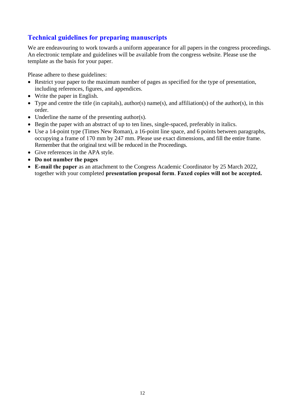## **Technical guidelines for preparing manuscripts**

We are endeavouring to work towards a uniform appearance for all papers in the congress proceedings. An electronic template and guidelines will be available from the congress website. Please use the template as the basis for your paper.

Please adhere to these guidelines:

- Restrict your paper to the maximum number of pages as specified for the type of presentation, including references, figures, and appendices.
- Write the paper in English.
- Type and centre the title (in capitals), author(s) name(s), and affiliation(s) of the author(s), in this order.
- Underline the name of the presenting author(s).
- Begin the paper with an abstract of up to ten lines, single-spaced, preferably in italics.
- Use a 14-point type (Times New Roman), a 16-point line space, and 6 points between paragraphs, occupying a frame of 170 mm by 247 mm. Please use exact dimensions, and fill the entire frame. Remember that the original text will be reduced in the Proceedings.
- Give references in the APA style.
- **Do not number the pages**
- **E-mail the paper** as an attachment to the Congress Academic Coordinator by 25 March 2022, together with your completed **presentation proposal form**. **Faxed copies will not be accepted.**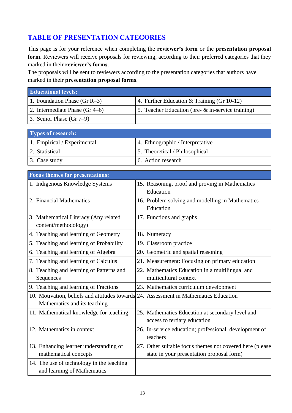## **TABLE OF PRESENTATION CATEGORIES**

This page is for your reference when completing the **reviewer's form** or the **presentation proposal** form. Reviewers will receive proposals for reviewing, according to their preferred categories that they marked in their **reviewer's forms**.

The proposals will be sent to reviewers according to the presentation categories that authors have marked in their **presentation proposal forms**.

| <b>Educational levels:</b>       |                                                      |
|----------------------------------|------------------------------------------------------|
| 1. Foundation Phase (Gr $R-3$ )  | 4. Further Education $&$ Training (Gr 10-12)         |
| 2. Intermediate Phase $(Gr 4–6)$ | 5. Teacher Education (pre- $\&$ in-service training) |
| 3. Senior Phase $(Gr 7-9)$       |                                                      |

| Types of research:          |                                  |
|-----------------------------|----------------------------------|
| 1. Empirical / Experimental | 4. Ethnographic / Interpretative |
| 2. Statistical              | 5. Theoretical / Philosophical   |
| 3. Case study               | 6. Action research               |

| <b>Focus themes for presentations:</b>                                                |                                                          |
|---------------------------------------------------------------------------------------|----------------------------------------------------------|
| 1. Indigenous Knowledge Systems                                                       | 15. Reasoning, proof and proving in Mathematics          |
|                                                                                       | Education                                                |
| 2. Financial Mathematics                                                              | 16. Problem solving and modelling in Mathematics         |
|                                                                                       | Education                                                |
| 3. Mathematical Literacy (Any related                                                 | 17. Functions and graphs                                 |
| content/methodology)                                                                  |                                                          |
| 4. Teaching and learning of Geometry                                                  | 18. Numeracy                                             |
| 5. Teaching and learning of Probability                                               | 19. Classroom practice                                   |
| 6. Teaching and learning of Algebra                                                   | 20. Geometric and spatial reasoning                      |
| 7. Teaching and learning of Calculus                                                  | 21. Measurement: Focusing on primary education           |
| 8. Teaching and learning of Patterns and                                              | 22. Mathematics Education in a multilingual and          |
| Sequences                                                                             | multicultural context                                    |
| 9. Teaching and learning of Fractions                                                 | 23. Mathematics curriculum development                   |
| 10. Motivation, beliefs and attitudes towards 24. Assessment in Mathematics Education |                                                          |
| Mathematics and its teaching                                                          |                                                          |
| 11. Mathematical knowledge for teaching                                               | 25. Mathematics Education at secondary level and         |
|                                                                                       | access to tertiary education                             |
| 12. Mathematics in context                                                            | 26. In-service education; professional development of    |
|                                                                                       | teachers                                                 |
| 13. Enhancing learner understanding of                                                | 27. Other suitable focus themes not covered here (please |
| mathematical concepts                                                                 | state in your presentation proposal form)                |
| 14. The use of technology in the teaching                                             |                                                          |
| and learning of Mathematics                                                           |                                                          |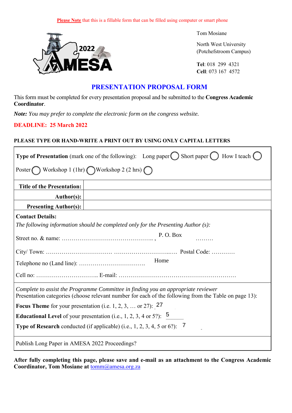

Tom Mosiane

North West University (Potchefstroom Campus)

**Tel**: 018 299 4321 **Cell**: 073 167 4572

#### **PRESENTATION PROPOSAL FORM E-mail**: tomm@amesa.org.za

This form must be completed for every presentation proposal and be submitted to the **Congress Academic Coordinator**.

*Note: You may prefer to complete the electronic form on the congress website.*

#### **DEADLINE: 25 March 2022**

 $\mathbf{r}$ 

#### **PLEASE TYPE OR HAND-WRITE A PRINT OUT BY USING ONLY CAPITAL LETTERS**

| <b>Type of Presentation</b> (mark one of the following): Long paper $\bigcirc$ Short paper $\bigcirc$ How I teach $\bigcirc$                                                               |  |  |
|--------------------------------------------------------------------------------------------------------------------------------------------------------------------------------------------|--|--|
| Poster Workshop 1 (1hr) Workshop 2 (2 hrs)                                                                                                                                                 |  |  |
| <b>Title of the Presentation:</b>                                                                                                                                                          |  |  |
| Author(s):                                                                                                                                                                                 |  |  |
| <b>Presenting Author(s):</b>                                                                                                                                                               |  |  |
| <b>Contact Details:</b>                                                                                                                                                                    |  |  |
| The following information should be completed only for the Presenting Author $(s)$ :                                                                                                       |  |  |
| P.O. Box                                                                                                                                                                                   |  |  |
|                                                                                                                                                                                            |  |  |
| Home                                                                                                                                                                                       |  |  |
|                                                                                                                                                                                            |  |  |
| Complete to assist the Programme Committee in finding you an appropriate reviewer<br>Presentation categories (choose relevant number for each of the following from the Table on page 13): |  |  |
| <b>Focus Theme</b> for your presentation (i.e. 1, 2, 3,  or 27): $27$                                                                                                                      |  |  |
| <b>Educational Level</b> of your presentation (i.e., 1, 2, 3, 4 or 5?): $\overline{5}$                                                                                                     |  |  |
| <b>Type of Research</b> conducted (if applicable) (i.e., 1, 2, 3, 4, 5 or 6?): $\overline{7}$                                                                                              |  |  |
| Publish Long Paper in AMESA 2022 Proceedings?                                                                                                                                              |  |  |

**After fully completing this page, please save and e-mail as an attachment to the Congress Academic**  Coordinator, Tom Mosiane at **tomm@amesa.org.za**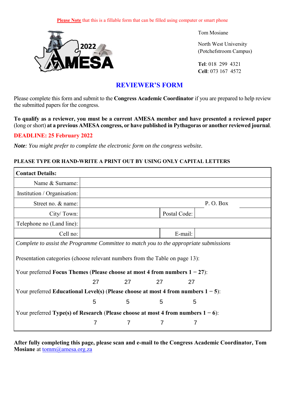

Tom Mosiane

North West University (Potchefstroom Campus)

**Tel**: 018 299 4321 **Cell**: 073 167 4572

## **REVIEWER'S FORM**

Please complete this form and submit to the **Congress Academic Coordinator** if you are prepared to help review the submitted papers for the congress.

**To qualify as a reviewer, you must be a current AMESA member and have presented a reviewed paper** (long or short) **at a previous AMESA congress, or have published in Pythagoras or another reviewed journal**.

#### **DEADLINE: 25 February 2022**

*Note: You might prefer to complete the electronic form on the congress website.*

#### **PLEASE TYPE OR HAND-WRITE A PRINT OUT BY USING ONLY CAPITAL LETTERS**

| <b>Contact Details:</b>                                                                                                                                       |              |    |    |         |          |
|---------------------------------------------------------------------------------------------------------------------------------------------------------------|--------------|----|----|---------|----------|
| Name & Surname:                                                                                                                                               |              |    |    |         |          |
| Institution / Organisation:                                                                                                                                   |              |    |    |         |          |
| Street no. & name:                                                                                                                                            |              |    |    |         | P.O. Box |
| City/Town:                                                                                                                                                    | Postal Code: |    |    |         |          |
| Telephone no (Land line):                                                                                                                                     |              |    |    |         |          |
| Cell no:                                                                                                                                                      |              |    |    | E-mail: |          |
| Complete to assist the Programme Committee to match you to the appropriate submissions                                                                        |              |    |    |         |          |
| Presentation categories (choose relevant numbers from the Table on page 13):<br>Your preferred Focus Themes (Please choose at most 4 from numbers $1 - 27$ ): |              |    |    |         |          |
|                                                                                                                                                               | 27           | 27 | 27 | 27      |          |
| Your preferred Educational Level(s) (Please choose at most 4 from numbers $1-5$ ):                                                                            |              |    |    |         |          |
|                                                                                                                                                               | 5            | 5  | 5  | 5       |          |
| Your preferred Type(s) of Research (Please choose at most 4 from numbers $1 - 6$ ):                                                                           |              |    |    |         |          |
|                                                                                                                                                               | 7            | 7  | 7  | 7       |          |

**After fully completing this page, please scan and e-mail to the Congress Academic Coordinator, Tom Mosiane** at tomm@amesa.org.za